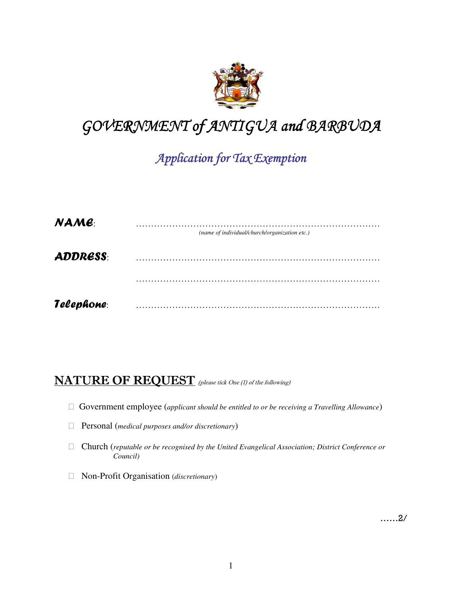

# GOVERNMENT of ANTIGUA and BARBUDA

# Application for Tax Exemption

| NAME:           | (name of individual/church/organization etc.) |  |
|-----------------|-----------------------------------------------|--|
| <b>ADDRESS:</b> |                                               |  |
|                 |                                               |  |
| Telephone:      |                                               |  |

### NATURE OF REQUEST (please tick One (1) of the following)

- Government employee (*applicant should be entitled to or be receiving a Travelling Allowance*)
- Personal (*medical purposes and/or discretionary*)
- Church (*reputable or be recognised by the United Evangelical Association; District Conference or Council)*
- Non-Profit Organisation (*discretionary*)

……2/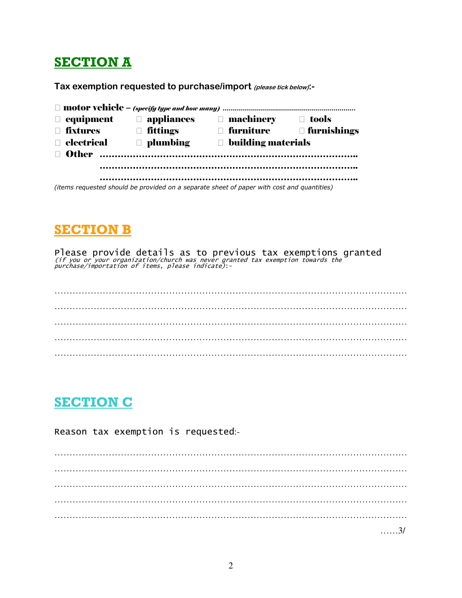## SECTION A

Tax exemption requested to purchase/import (please tick below):-

|                   | $\Box$ equipment $\Box$ appliances $\Box$ machinery $\Box$ tools |                           |                                     |  |
|-------------------|------------------------------------------------------------------|---------------------------|-------------------------------------|--|
| $\Box$ fixtures   | <b>fittings</b>                                                  |                           | $\Box$ furniture $\Box$ furnishings |  |
| $\Box$ electrical | $\Box$ plumbing                                                  | $\Box$ building materials |                                     |  |
|                   | □ Other …………………………………………………                                      |                           |                                     |  |
|                   |                                                                  |                           |                                     |  |
|                   |                                                                  |                           |                                     |  |
|                   |                                                                  |                           |                                     |  |

(items requested should be provided on a separate sheet of paper with cost and quantities)

## SECTION B

Please provide details as to previous tax exemptions granted<br>(if you or your organization/church was never granted tax exemption towards the<br>purchase/importation of items, please indicate):-

……………………………………………………………………………………………………… ……………………………………………………………………………………………………… ……………………………………………………………………………………………………… ……………………………………………………………………………………………………… ………………………………………………………………………………………………………

# SECTION C

Reason tax exemption is requested:- ……………………………………………………………………………………………………… ……………………………………………………………………………………………………… ……………………………………………………………………………………………………… ……………………………………………………………………………………………………… ……………………………………………………………………………………………………… ……3/